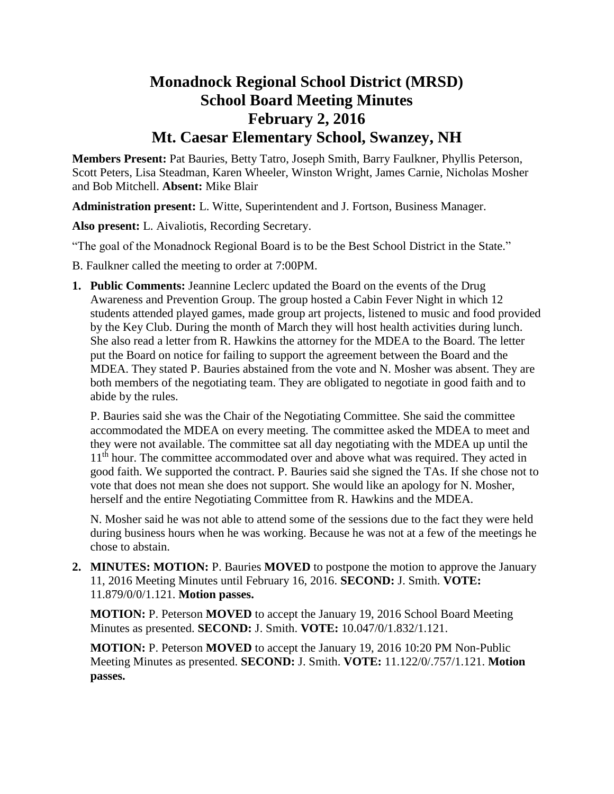# **Monadnock Regional School District (MRSD) School Board Meeting Minutes February 2, 2016 Mt. Caesar Elementary School, Swanzey, NH**

**Members Present:** Pat Bauries, Betty Tatro, Joseph Smith, Barry Faulkner, Phyllis Peterson, Scott Peters, Lisa Steadman, Karen Wheeler, Winston Wright, James Carnie, Nicholas Mosher and Bob Mitchell. **Absent:** Mike Blair

**Administration present:** L. Witte, Superintendent and J. Fortson, Business Manager.

**Also present:** L. Aivaliotis, Recording Secretary.

"The goal of the Monadnock Regional Board is to be the Best School District in the State."

- B. Faulkner called the meeting to order at 7:00PM.
- **1. Public Comments:** Jeannine Leclerc updated the Board on the events of the Drug Awareness and Prevention Group. The group hosted a Cabin Fever Night in which 12 students attended played games, made group art projects, listened to music and food provided by the Key Club. During the month of March they will host health activities during lunch. She also read a letter from R. Hawkins the attorney for the MDEA to the Board. The letter put the Board on notice for failing to support the agreement between the Board and the MDEA. They stated P. Bauries abstained from the vote and N. Mosher was absent. They are both members of the negotiating team. They are obligated to negotiate in good faith and to abide by the rules.

P. Bauries said she was the Chair of the Negotiating Committee. She said the committee accommodated the MDEA on every meeting. The committee asked the MDEA to meet and they were not available. The committee sat all day negotiating with the MDEA up until the 11<sup>th</sup> hour. The committee accommodated over and above what was required. They acted in good faith. We supported the contract. P. Bauries said she signed the TAs. If she chose not to vote that does not mean she does not support. She would like an apology for N. Mosher, herself and the entire Negotiating Committee from R. Hawkins and the MDEA.

N. Mosher said he was not able to attend some of the sessions due to the fact they were held during business hours when he was working. Because he was not at a few of the meetings he chose to abstain.

**2. MINUTES: MOTION:** P. Bauries **MOVED** to postpone the motion to approve the January 11, 2016 Meeting Minutes until February 16, 2016. **SECOND:** J. Smith. **VOTE:**  11.879/0/0/1.121. **Motion passes.** 

**MOTION:** P. Peterson **MOVED** to accept the January 19, 2016 School Board Meeting Minutes as presented. **SECOND:** J. Smith. **VOTE:** 10.047/0/1.832/1.121.

**MOTION:** P. Peterson **MOVED** to accept the January 19, 2016 10:20 PM Non-Public Meeting Minutes as presented. **SECOND:** J. Smith. **VOTE:** 11.122/0/.757/1.121. **Motion passes.**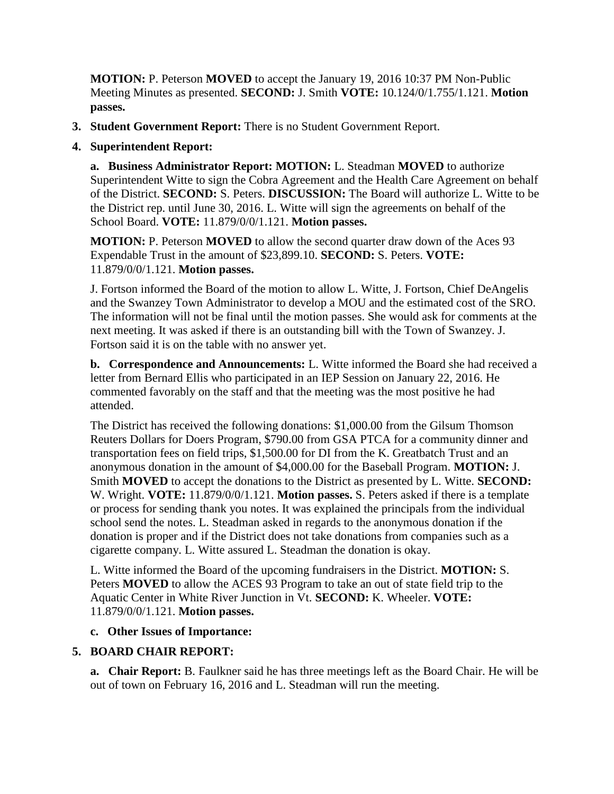**MOTION:** P. Peterson **MOVED** to accept the January 19, 2016 10:37 PM Non-Public Meeting Minutes as presented. **SECOND:** J. Smith **VOTE:** 10.124/0/1.755/1.121. **Motion passes.** 

**3. Student Government Report:** There is no Student Government Report.

## **4. Superintendent Report:**

**a. Business Administrator Report: MOTION:** L. Steadman **MOVED** to authorize Superintendent Witte to sign the Cobra Agreement and the Health Care Agreement on behalf of the District. **SECOND:** S. Peters. **DISCUSSION:** The Board will authorize L. Witte to be the District rep. until June 30, 2016. L. Witte will sign the agreements on behalf of the School Board. **VOTE:** 11.879/0/0/1.121. **Motion passes.** 

**MOTION:** P. Peterson **MOVED** to allow the second quarter draw down of the Aces 93 Expendable Trust in the amount of \$23,899.10. **SECOND:** S. Peters. **VOTE:**  11.879/0/0/1.121. **Motion passes.** 

J. Fortson informed the Board of the motion to allow L. Witte, J. Fortson, Chief DeAngelis and the Swanzey Town Administrator to develop a MOU and the estimated cost of the SRO. The information will not be final until the motion passes. She would ask for comments at the next meeting. It was asked if there is an outstanding bill with the Town of Swanzey. J. Fortson said it is on the table with no answer yet.

**b. Correspondence and Announcements:** L. Witte informed the Board she had received a letter from Bernard Ellis who participated in an IEP Session on January 22, 2016. He commented favorably on the staff and that the meeting was the most positive he had attended.

The District has received the following donations: \$1,000.00 from the Gilsum Thomson Reuters Dollars for Doers Program, \$790.00 from GSA PTCA for a community dinner and transportation fees on field trips, \$1,500.00 for DI from the K. Greatbatch Trust and an anonymous donation in the amount of \$4,000.00 for the Baseball Program. **MOTION:** J. Smith **MOVED** to accept the donations to the District as presented by L. Witte. **SECOND:**  W. Wright. **VOTE:** 11.879/0/0/1.121. **Motion passes.** S. Peters asked if there is a template or process for sending thank you notes. It was explained the principals from the individual school send the notes. L. Steadman asked in regards to the anonymous donation if the donation is proper and if the District does not take donations from companies such as a cigarette company. L. Witte assured L. Steadman the donation is okay.

L. Witte informed the Board of the upcoming fundraisers in the District. **MOTION:** S. Peters **MOVED** to allow the ACES 93 Program to take an out of state field trip to the Aquatic Center in White River Junction in Vt. **SECOND:** K. Wheeler. **VOTE:**  11.879/0/0/1.121. **Motion passes.** 

## **c. Other Issues of Importance:**

# **5. BOARD CHAIR REPORT:**

**a. Chair Report:** B. Faulkner said he has three meetings left as the Board Chair. He will be out of town on February 16, 2016 and L. Steadman will run the meeting.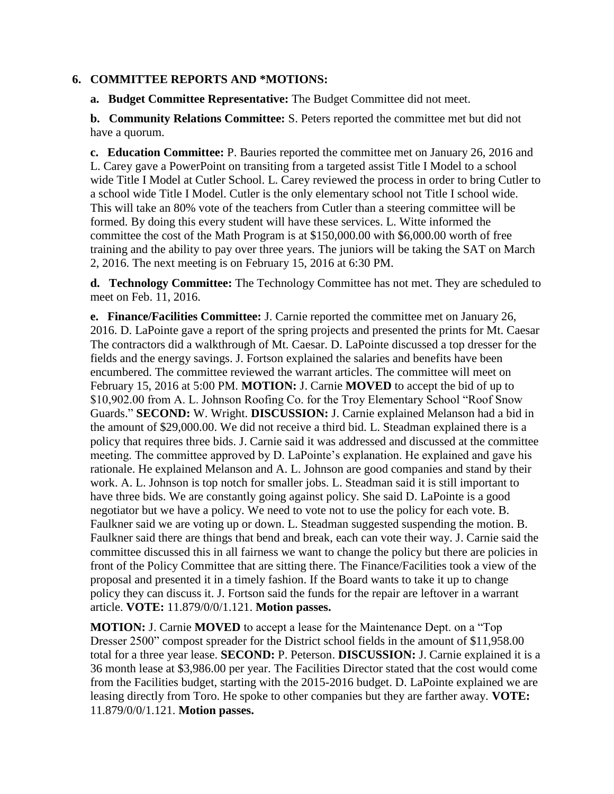#### **6. COMMITTEE REPORTS AND \*MOTIONS:**

**a. Budget Committee Representative:** The Budget Committee did not meet.

**b. Community Relations Committee:** S. Peters reported the committee met but did not have a quorum.

**c. Education Committee:** P. Bauries reported the committee met on January 26, 2016 and L. Carey gave a PowerPoint on transiting from a targeted assist Title I Model to a school wide Title I Model at Cutler School. L. Carey reviewed the process in order to bring Cutler to a school wide Title I Model. Cutler is the only elementary school not Title I school wide. This will take an 80% vote of the teachers from Cutler than a steering committee will be formed. By doing this every student will have these services. L. Witte informed the committee the cost of the Math Program is at \$150,000.00 with \$6,000.00 worth of free training and the ability to pay over three years. The juniors will be taking the SAT on March 2, 2016. The next meeting is on February 15, 2016 at 6:30 PM.

**d. Technology Committee:** The Technology Committee has not met. They are scheduled to meet on Feb. 11, 2016.

**e. Finance/Facilities Committee:** J. Carnie reported the committee met on January 26, 2016. D. LaPointe gave a report of the spring projects and presented the prints for Mt. Caesar The contractors did a walkthrough of Mt. Caesar. D. LaPointe discussed a top dresser for the fields and the energy savings. J. Fortson explained the salaries and benefits have been encumbered. The committee reviewed the warrant articles. The committee will meet on February 15, 2016 at 5:00 PM. **MOTION:** J. Carnie **MOVED** to accept the bid of up to \$10,902.00 from A. L. Johnson Roofing Co. for the Troy Elementary School "Roof Snow Guards." **SECOND:** W. Wright. **DISCUSSION:** J. Carnie explained Melanson had a bid in the amount of \$29,000.00. We did not receive a third bid. L. Steadman explained there is a policy that requires three bids. J. Carnie said it was addressed and discussed at the committee meeting. The committee approved by D. LaPointe's explanation. He explained and gave his rationale. He explained Melanson and A. L. Johnson are good companies and stand by their work. A. L. Johnson is top notch for smaller jobs. L. Steadman said it is still important to have three bids. We are constantly going against policy. She said D. LaPointe is a good negotiator but we have a policy. We need to vote not to use the policy for each vote. B. Faulkner said we are voting up or down. L. Steadman suggested suspending the motion. B. Faulkner said there are things that bend and break, each can vote their way. J. Carnie said the committee discussed this in all fairness we want to change the policy but there are policies in front of the Policy Committee that are sitting there. The Finance/Facilities took a view of the proposal and presented it in a timely fashion. If the Board wants to take it up to change policy they can discuss it. J. Fortson said the funds for the repair are leftover in a warrant article. **VOTE:** 11.879/0/0/1.121. **Motion passes.** 

**MOTION:** J. Carnie **MOVED** to accept a lease for the Maintenance Dept. on a "Top Dresser 2500" compost spreader for the District school fields in the amount of \$11,958.00 total for a three year lease. **SECOND:** P. Peterson. **DISCUSSION:** J. Carnie explained it is a 36 month lease at \$3,986.00 per year. The Facilities Director stated that the cost would come from the Facilities budget, starting with the 2015-2016 budget. D. LaPointe explained we are leasing directly from Toro. He spoke to other companies but they are farther away. **VOTE:**  11.879/0/0/1.121. **Motion passes.**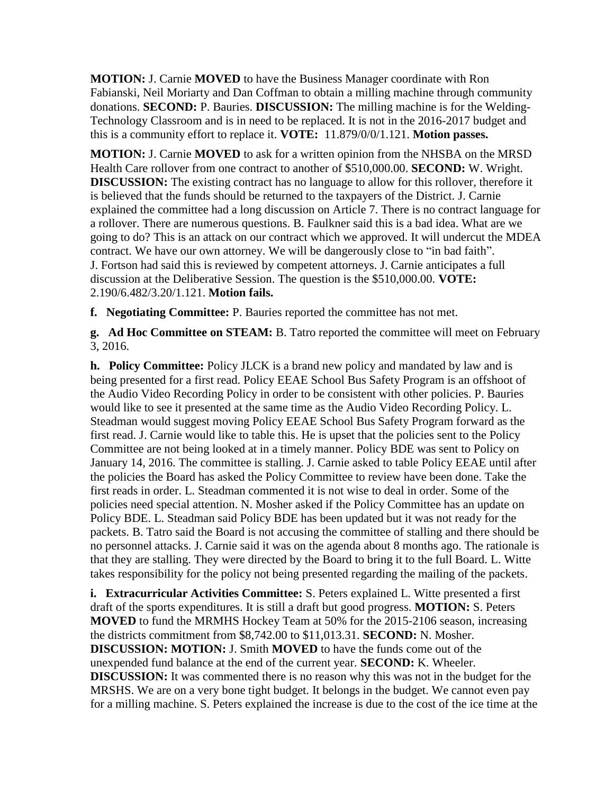**MOTION:** J. Carnie **MOVED** to have the Business Manager coordinate with Ron Fabianski, Neil Moriarty and Dan Coffman to obtain a milling machine through community donations. **SECOND:** P. Bauries. **DISCUSSION:** The milling machine is for the Welding-Technology Classroom and is in need to be replaced. It is not in the 2016-2017 budget and this is a community effort to replace it. **VOTE:** 11.879/0/0/1.121. **Motion passes.**

**MOTION:** J. Carnie **MOVED** to ask for a written opinion from the NHSBA on the MRSD Health Care rollover from one contract to another of \$510,000.00. **SECOND:** W. Wright. **DISCUSSION:** The existing contract has no language to allow for this rollover, therefore it is believed that the funds should be returned to the taxpayers of the District. J. Carnie explained the committee had a long discussion on Article 7. There is no contract language for a rollover. There are numerous questions. B. Faulkner said this is a bad idea. What are we going to do? This is an attack on our contract which we approved. It will undercut the MDEA contract. We have our own attorney. We will be dangerously close to "in bad faith". J. Fortson had said this is reviewed by competent attorneys. J. Carnie anticipates a full discussion at the Deliberative Session. The question is the \$510,000.00. **VOTE:**  2.190/6.482/3.20/1.121. **Motion fails.** 

**f. Negotiating Committee:** P. Bauries reported the committee has not met.

**g. Ad Hoc Committee on STEAM:** B. Tatro reported the committee will meet on February 3, 2016.

**h. Policy Committee:** Policy JLCK is a brand new policy and mandated by law and is being presented for a first read. Policy EEAE School Bus Safety Program is an offshoot of the Audio Video Recording Policy in order to be consistent with other policies. P. Bauries would like to see it presented at the same time as the Audio Video Recording Policy. L. Steadman would suggest moving Policy EEAE School Bus Safety Program forward as the first read. J. Carnie would like to table this. He is upset that the policies sent to the Policy Committee are not being looked at in a timely manner. Policy BDE was sent to Policy on January 14, 2016. The committee is stalling. J. Carnie asked to table Policy EEAE until after the policies the Board has asked the Policy Committee to review have been done. Take the first reads in order. L. Steadman commented it is not wise to deal in order. Some of the policies need special attention. N. Mosher asked if the Policy Committee has an update on Policy BDE. L. Steadman said Policy BDE has been updated but it was not ready for the packets. B. Tatro said the Board is not accusing the committee of stalling and there should be no personnel attacks. J. Carnie said it was on the agenda about 8 months ago. The rationale is that they are stalling. They were directed by the Board to bring it to the full Board. L. Witte takes responsibility for the policy not being presented regarding the mailing of the packets.

**i. Extracurricular Activities Committee:** S. Peters explained L. Witte presented a first draft of the sports expenditures. It is still a draft but good progress. **MOTION:** S. Peters **MOVED** to fund the MRMHS Hockey Team at 50% for the 2015-2106 season, increasing the districts commitment from \$8,742.00 to \$11,013.31. **SECOND:** N. Mosher. **DISCUSSION: MOTION:** J. Smith **MOVED** to have the funds come out of the unexpended fund balance at the end of the current year. **SECOND:** K. Wheeler. **DISCUSSION:** It was commented there is no reason why this was not in the budget for the MRSHS. We are on a very bone tight budget. It belongs in the budget. We cannot even pay for a milling machine. S. Peters explained the increase is due to the cost of the ice time at the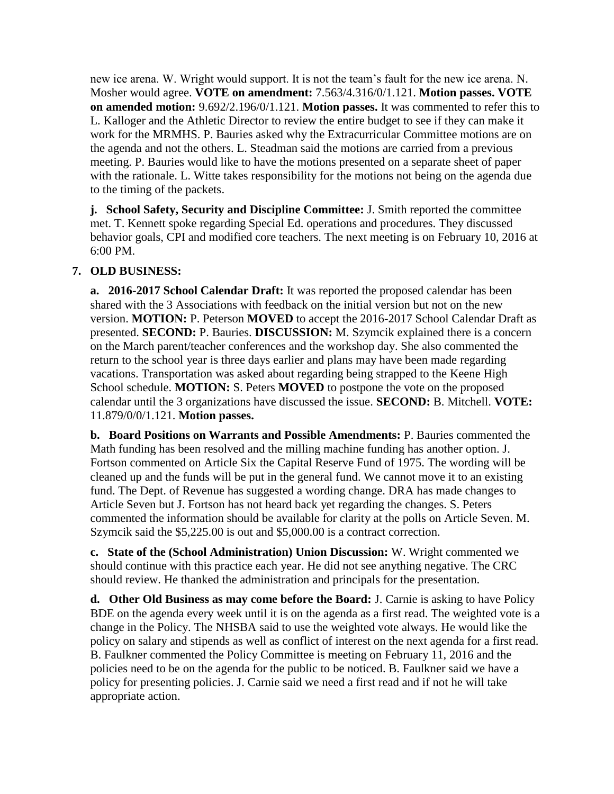new ice arena. W. Wright would support. It is not the team's fault for the new ice arena. N. Mosher would agree. **VOTE on amendment:** 7.563/4.316/0/1.121. **Motion passes. VOTE on amended motion:** 9.692/2.196/0/1.121. **Motion passes.** It was commented to refer this to L. Kalloger and the Athletic Director to review the entire budget to see if they can make it work for the MRMHS. P. Bauries asked why the Extracurricular Committee motions are on the agenda and not the others. L. Steadman said the motions are carried from a previous meeting. P. Bauries would like to have the motions presented on a separate sheet of paper with the rationale. L. Witte takes responsibility for the motions not being on the agenda due to the timing of the packets.

**j. School Safety, Security and Discipline Committee:** J. Smith reported the committee met. T. Kennett spoke regarding Special Ed. operations and procedures. They discussed behavior goals, CPI and modified core teachers. The next meeting is on February 10, 2016 at 6:00 PM.

## **7. OLD BUSINESS:**

**a. 2016-2017 School Calendar Draft:** It was reported the proposed calendar has been shared with the 3 Associations with feedback on the initial version but not on the new version. **MOTION:** P. Peterson **MOVED** to accept the 2016-2017 School Calendar Draft as presented. **SECOND:** P. Bauries. **DISCUSSION:** M. Szymcik explained there is a concern on the March parent/teacher conferences and the workshop day. She also commented the return to the school year is three days earlier and plans may have been made regarding vacations. Transportation was asked about regarding being strapped to the Keene High School schedule. **MOTION:** S. Peters **MOVED** to postpone the vote on the proposed calendar until the 3 organizations have discussed the issue. **SECOND:** B. Mitchell. **VOTE:**  11.879/0/0/1.121. **Motion passes.** 

**b. Board Positions on Warrants and Possible Amendments:** P. Bauries commented the Math funding has been resolved and the milling machine funding has another option. J. Fortson commented on Article Six the Capital Reserve Fund of 1975. The wording will be cleaned up and the funds will be put in the general fund. We cannot move it to an existing fund. The Dept. of Revenue has suggested a wording change. DRA has made changes to Article Seven but J. Fortson has not heard back yet regarding the changes. S. Peters commented the information should be available for clarity at the polls on Article Seven. M. Szymcik said the \$5,225.00 is out and \$5,000.00 is a contract correction.

**c. State of the (School Administration) Union Discussion:** W. Wright commented we should continue with this practice each year. He did not see anything negative. The CRC should review. He thanked the administration and principals for the presentation.

**d. Other Old Business as may come before the Board:** J. Carnie is asking to have Policy BDE on the agenda every week until it is on the agenda as a first read. The weighted vote is a change in the Policy. The NHSBA said to use the weighted vote always. He would like the policy on salary and stipends as well as conflict of interest on the next agenda for a first read. B. Faulkner commented the Policy Committee is meeting on February 11, 2016 and the policies need to be on the agenda for the public to be noticed. B. Faulkner said we have a policy for presenting policies. J. Carnie said we need a first read and if not he will take appropriate action.